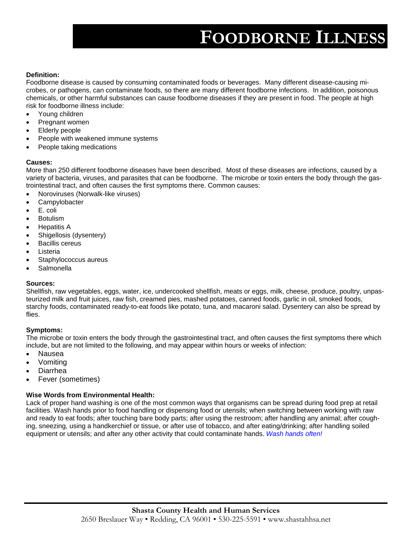# **FOODBORNE ILLNESS**

#### **Definition:**

Foodborne disease is caused by consuming contaminated foods or beverages. Many different disease-causing microbes, or pathogens, can contaminate foods, so there are many different foodborne infections. In addition, poisonous chemicals, or other harmful substances can cause foodborne diseases if they are present in food. The people at high risk for foodborne illness include:

- Young children
- Pregnant women
- Elderly people
- People with weakened immune systems
- People taking medications

#### **Causes:**

More than 250 different foodborne diseases have been described. Most of these diseases are infections, caused by a variety of bacteria, viruses, and parasites that can be foodborne. The microbe or toxin enters the body through the gastrointestinal tract, and often causes the first symptoms there. Common causes:

- Noroviruses (Norwalk-like viruses)
- **Campylobacter**
- E. coli
- **Botulism**
- Hepatitis A
- Shigellosis (dysentery)
- Bacillis cereus
- **Listeria**
- Staphylococcus aureus
- **Salmonella**

#### **Sources:**

Shellfish, raw vegetables, eggs, water, ice, undercooked shellfish, meats or eggs, milk, cheese, produce, poultry, unpasteurized milk and fruit juices, raw fish, creamed pies, mashed potatoes, canned foods, garlic in oil, smoked foods, starchy foods, contaminated ready-to-eat foods like potato, tuna, and macaroni salad. Dysentery can also be spread by flies.

#### **Symptoms:**

The microbe or toxin enters the body through the gastrointestinal tract, and often causes the first symptoms there which include, but are not limited to the following, and may appear within hours or weeks of infection:

- Nausea
- Vomiting
- Diarrhea
- Fever (sometimes)

#### **Wise Words from Environmental Health:**

Lack of proper hand washing is one of the most common ways that organisms can be spread during food prep at retail facilities. Wash hands prior to food handling or dispensing food or utensils; when switching between working with raw and ready to eat foods; after touching bare body parts; after using the restroom; after handling any animal; after coughing, sneezing, using a handkerchief or tissue, or after use of tobacco, and after eating/drinking; after handling soiled equipment or utensils; and after any other activity that could contaminate hands. *Wash hands often!*